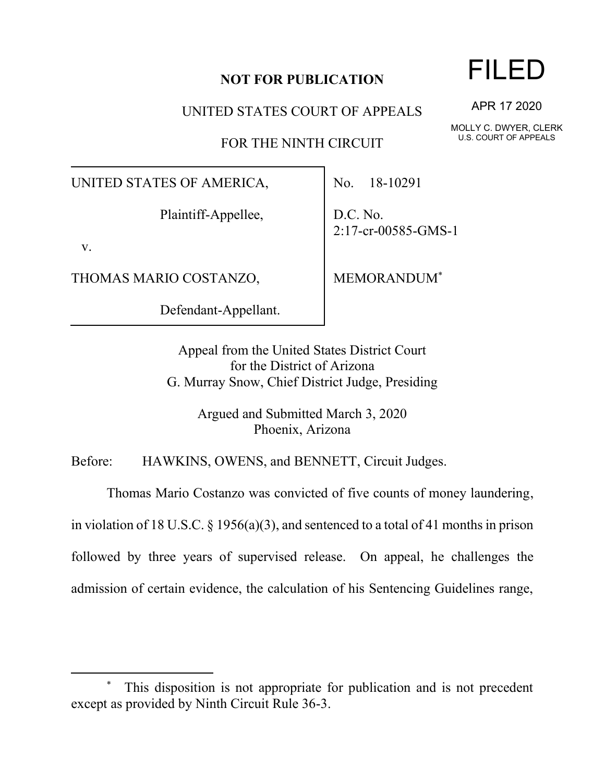## **NOT FOR PUBLICATION**

UNITED STATES COURT OF APPEALS

FOR THE NINTH CIRCUIT

UNITED STATES OF AMERICA,

Plaintiff-Appellee,

v.

THOMAS MARIO COSTANZO,

Defendant-Appellant.

No. 18-10291

D.C. No. 2:17-cr-00585-GMS-1

MEMORANDUM\*

Appeal from the United States District Court for the District of Arizona G. Murray Snow, Chief District Judge, Presiding

> Argued and Submitted March 3, 2020 Phoenix, Arizona

Before: HAWKINS, OWENS, and BENNETT, Circuit Judges.

Thomas Mario Costanzo was convicted of five counts of money laundering,

in violation of 18 U.S.C. § 1956(a)(3), and sentenced to a total of 41 months in prison

followed by three years of supervised release. On appeal, he challenges the

admission of certain evidence, the calculation of his Sentencing Guidelines range,

FILED

APR 17 2020

MOLLY C. DWYER, CLERK U.S. COURT OF APPEALS

This disposition is not appropriate for publication and is not precedent except as provided by Ninth Circuit Rule 36-3.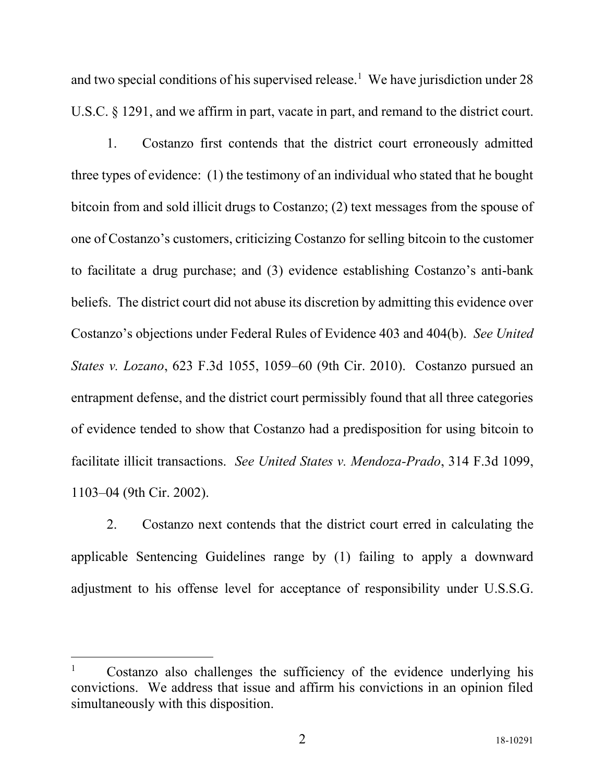and two special conditions of his supervised release.<sup>1</sup> We have jurisdiction under 28 U.S.C. § 1291, and we affirm in part, vacate in part, and remand to the district court.

1. Costanzo first contends that the district court erroneously admitted three types of evidence: (1) the testimony of an individual who stated that he bought bitcoin from and sold illicit drugs to Costanzo; (2) text messages from the spouse of one of Costanzo's customers, criticizing Costanzo for selling bitcoin to the customer to facilitate a drug purchase; and (3) evidence establishing Costanzo's anti-bank beliefs. The district court did not abuse its discretion by admitting this evidence over Costanzo's objections under Federal Rules of Evidence 403 and 404(b). *See United States v. Lozano*, 623 F.3d 1055, 1059–60 (9th Cir. 2010). Costanzo pursued an entrapment defense, and the district court permissibly found that all three categories of evidence tended to show that Costanzo had a predisposition for using bitcoin to facilitate illicit transactions. *See United States v. Mendoza-Prado*, 314 F.3d 1099, 1103–04 (9th Cir. 2002).

2. Costanzo next contends that the district court erred in calculating the applicable Sentencing Guidelines range by (1) failing to apply a downward adjustment to his offense level for acceptance of responsibility under U.S.S.G.

<sup>&</sup>lt;sup>1</sup> Costanzo also challenges the sufficiency of the evidence underlying his convictions. We address that issue and affirm his convictions in an opinion filed simultaneously with this disposition.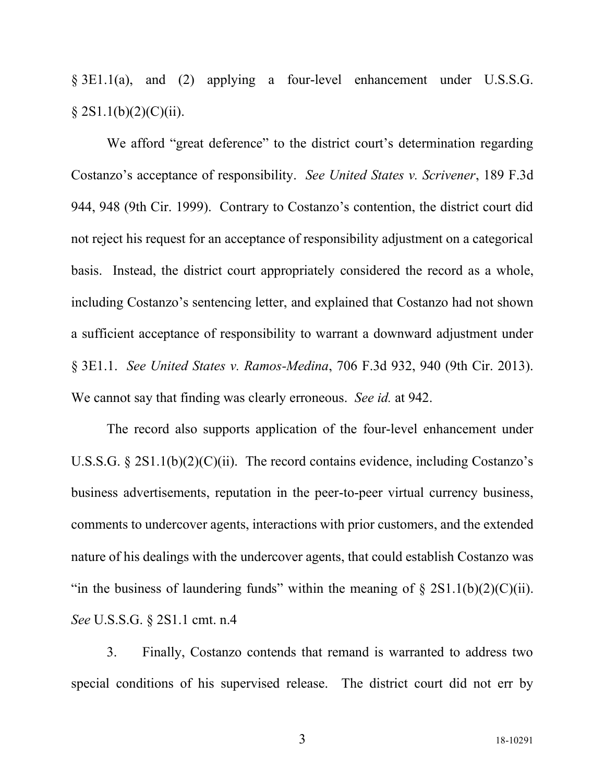§ 3E1.1(a), and (2) applying a four-level enhancement under U.S.S.G.  $§ 2S1.1(b)(2)(C)(ii).$ 

We afford "great deference" to the district court's determination regarding Costanzo's acceptance of responsibility. *See United States v. Scrivener*, 189 F.3d 944, 948 (9th Cir. 1999). Contrary to Costanzo's contention, the district court did not reject his request for an acceptance of responsibility adjustment on a categorical basis. Instead, the district court appropriately considered the record as a whole, including Costanzo's sentencing letter, and explained that Costanzo had not shown a sufficient acceptance of responsibility to warrant a downward adjustment under § 3E1.1. *See United States v. Ramos-Medina*, 706 F.3d 932, 940 (9th Cir. 2013). We cannot say that finding was clearly erroneous. *See id.* at 942.

The record also supports application of the four-level enhancement under U.S.S.G.  $\S 2S1.1(b)(2)(C)(ii)$ . The record contains evidence, including Costanzo's business advertisements, reputation in the peer-to-peer virtual currency business, comments to undercover agents, interactions with prior customers, and the extended nature of his dealings with the undercover agents, that could establish Costanzo was "in the business of laundering funds" within the meaning of  $\S 2S1.1(b)(2)(C)(ii)$ . *See* U.S.S.G. § 2S1.1 cmt. n.4

3. Finally, Costanzo contends that remand is warranted to address two special conditions of his supervised release. The district court did not err by